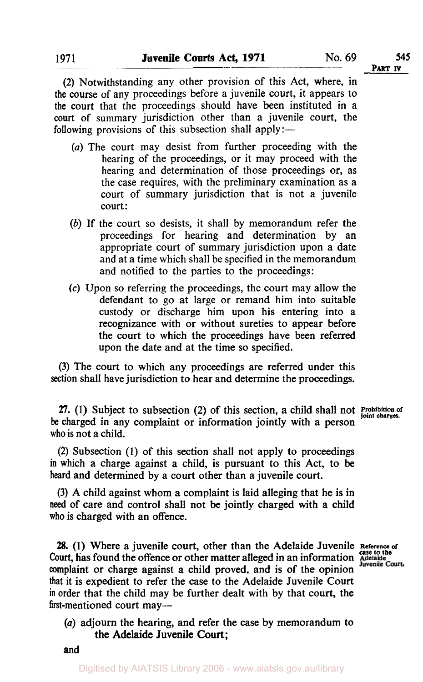**PART IV** 

**(2)** Notwithstanding any other provision of this Act, where, in **the** course of any proceedings before a juvenile court, it appears to **the** court that the proceedings should have been instituted in a **court** of summary jurisdiction other than a juvenile court, the following provisions of this subsection shall apply:—

- *(a)* The court may desist from further proceeding with the hearing of the proceedings, or it may proceed with the hearing and determination of those proceedings or, as the case requires, with the preliminary examination as a court of summary jurisdiction that is not a juvenile court:
- *(b)* If the court so desists, it shall by memorandum refer the proceedings for hearing and determination by an appropriate court of summary jurisdiction upon a date and at a time which shall be specified in the memorandum and notified to the parties to the proceedings:
- (c) Upon so referring the proceedings, the court may allow the defendant to go at large or remand him into suitable custody or discharge him upon his entering into a recognizance with or without sureties to appear before the court to which the proceedings have been referred upon the date and at the time so specified.

**(3)** The court to which any proceedings are referred under this section shall have jurisdiction to hear and determine the proceedings.

**27.** (1) Subject to subsection **(2)** of this section, a child shall not Prohibition of joint charges be charged in any complaint or information jointly with a person **who** is not a child.

**(2)** Subsection (I) of this section shall not apply to proceedings in which *a* charge against a child, is pursuant to this Act, to be **heard** and determined by a court other than a juvenile court.

**(3)** A child against whom a complaint is laid alleging that he is in **need** of care and control shall not be jointly charged with a child **who** is charged with an offence.

**28.** (1) Where a juvenile court, other than the Adelaide Juvenile Reference of Court, has found the offence or other matter alleged in an information  $\frac{\text{Case to the}}{\text{Quanta}}$ complaint or charge against a child proved, and is of the opinion that it is expedient to refer the case to the Adelaide Juvenile Court **in** order that the child may be further dealt with by that court, the first-mentioned court may—

*(a)* adjourn the hearing, and refer the case by memorandum to the Adelaide Juvenile **Court** ;

**and**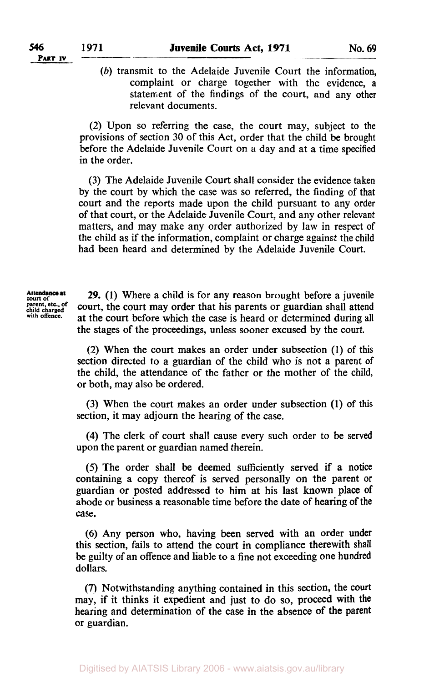*(b)* transmit to the Adelaide Juvenile Court the information, complaint or charge together with the evidence, a statement of the findings of the court, and any other relevant documents.

(2) Upon so referring the case, the court may, subject to the provisions of section 30 of this Act, order that the child be brought before the Adelaide Juvenile Court on a day and at a time specified in the order.

(3) The Adelaide Juvenile Court shall consider the evidence taken by the court by which the case was so referred, the finding of that court and the reports made upon the child pursuant to any order of that court, or the Adelaide Juvenile Court, and any other relevant matters, and may make any order authorized by law in respect of the child as if the information, complaint or charge against the child had been heard and determined by the Adelaide Juvenile Court.

**Attendance at 29.** (1) Where a child is for any reason brought before a juvenile parent, etc., of **court**, the court may order that his parents or guardian shall attend parent, etc., of court, the court may order that his parents or guardian shall attend<br>hild charged court the court before which the cose is beard on determined during all at the court before which the case is heard or determined during all the stages of the proceedings, unless sooner excused by the court.

> (2) When the court makes an order under subsection (1) of this section directed to a guardian of the child who is not a parent of the child, the attendance of the father or the mother of the child, or both, may also be ordered.

> (3) When the court makes an order under subsection (1) of this section, it may adjourn the hearing of the case.

> **(4)** The clerk of court shall cause every such order to be served upon the parent or guardian named therein.

> *(5)* The order shall be deemed sufficiently served if a notice containing a copy thereof is served personally on the parent or guardian or posted addressed to him at his last known place of abode or business a reasonable time before the date of hearing of the **case.**

> (6) Any person who, having been served with an order under this section, fails to attend the court in compliance therewith shall be guilty of an offence and liable to a fine not exceeding one hundred dollars.

> **(7)** Notwithstanding anything contained in this section, the **court**  may, if it thinks it expedient and just to do so, proceed with the hearing and determination of the case in the absence of the parent or guardian.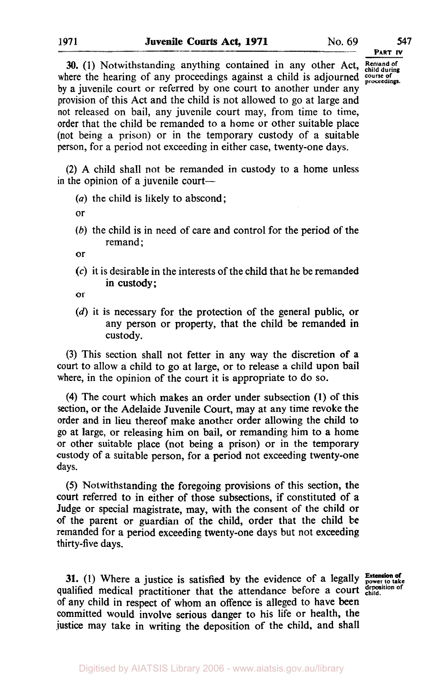**PART** *IV* 

**30. (1)** Notwithstanding anything contained in any other Act, **Remand of child during**  where the hearing of any proceedings against a child is adjourned course of proceedings. by a juvenile court or referred by one court to another under any provision of this Act and the child is not allowed to go at large and not released on bail, any juvenile court may, from time to time, order that the child be remanded to a home or other suitable place (not being a prison) or in the temporary custody of a suitable person, for a period not exceeding in either case, twenty-one days.

(2) A child shall not be remanded in custody to a home unless in the opinion of a juvenile court-

- $(a)$  the child is likely to abscond;
- or
- *(b)* the child is in need of care and control for the period of the remand;

or

- (c) it is desirable in the interests of the child that he be remanded in custody;
- or
- (d) it is necessary for the protection of the general public, or any person or property, that the child be remanded in custody.

(3) This section shall not fetter in any way the discretion of a court to allow a child to go at large, or to release a child upon bail where, in the opinion of the court it is appropriate to do so.

**(4)** The court which makes an order under subsection **(1)** of this section, or the Adelaide Juvenile Court, may at any time revoke the order and in lieu thereof make another order allowing the child to go at large, or releasing him on bail, or remanding him to **a** home or other suitable place (not being a prison) or in the temporary custody of a suitable person, for a period not exceeding twenty-one days.

*(5)* Notwithstanding the foregoing provisions of this section, the court referred to in either of those subsections, if constituted of a Judge or special magistrate, may, with the consent of the child or of the parent or guardian of the child, order that the child **be**  remanded for a period exceeding twenty-one days but not exceeding thirty-five days.

**31.** (1) Where a justice is satisfied by the evidence of a legally **Extension of**  $\text{value of a result}$ qualified medical practitioner that the attendance before a court of any child in respect of whom an offence is alleged to have been committed would involve serious danger to his life or health, the justice may take in writing the deposition of the child, and shall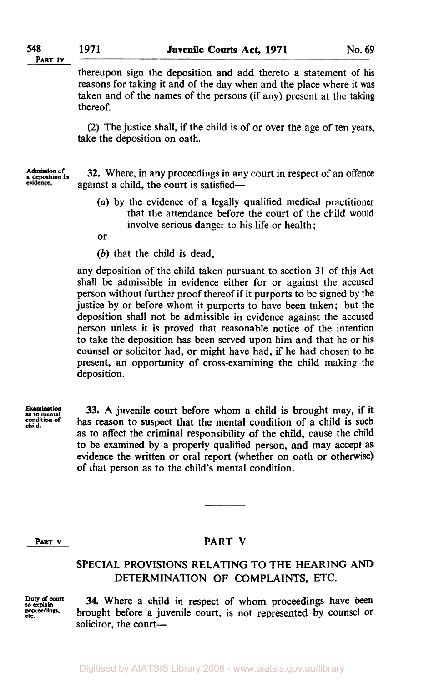**PART IV** 

thereupon sign the deposition and add thereto a statement of his reasons for taking it and of the day when and the place where it was taken and of the names of the persons (if any) present at the taking thereof.

(2) The justice shall, if the child is of or over the age of ten years, take the deposition on oath.

*Admission of* **32.** Where, in any proceedings in any court in respect of an offence exidence. against a child, the court is satisfied-

- *(a)* by the evidence of a legally qualified medical practitioner that the attendance before the court of the child would involve serious danger to his life or health;
- or
- *(b)* that the child is dead,

any deposition of the child taken pursuant to section 31 of this Act shall be admissible in evidence either for or against the accused person without further proof thereof if it purports to be signed by the justice by or before whom it purports to have been taken; but the deposition shall not be admissible in evidence against the accused person unless it is proved that reasonable notice of the intention to take the deposition has been served upon him and that he or his counsel or solicitor had, or might have had, if he had chosen to be present, an opportunity of cross-examining the child making the deposition.

**Examination** as to mental<br>condition of

33. **A** juvenile court before whom a child is brought may, if it has reason to suspect that the mental condition of a child is such as to affect the criminal responsibility of the child, cause the child to be examined by a properly qualified person, and may accept as evidence the written or oral report (whether on oath or otherwise) of that person as to the child's mental condition.

## **PART V PART V**

## **SPECIAL PROVISIONS RELATING TO THE HEARING AND DETERMINATION OF COMPLAINTS, ETC.**

**Duty of court** *to* **explain etc. proceedings,** 

**34.** Where a child in respect of whom proceedings have **been**  brought before a juvenile court, is not represented by counsel or solicitor, the court-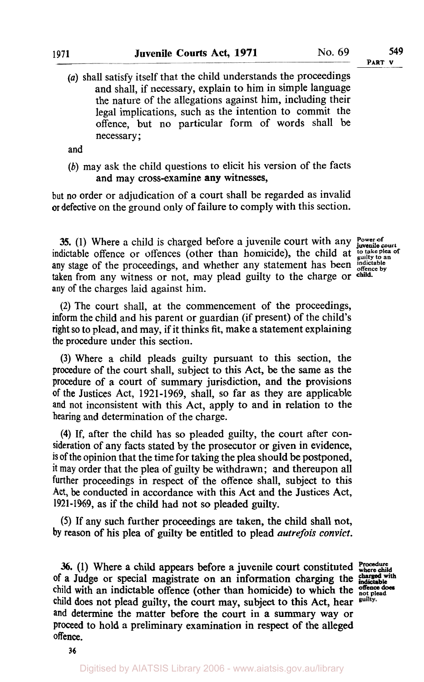- **PART V**
- *(a)* shall satisfy itself that the child understands the proceedings and shall, if necessary, explain to him in simple language the nature of the allegations against him, including their legal implications, such as the intention to commit the offence, but no particular form of words shall be necessary ;

and

*(b)* may ask the child questions to elicit his version of the facts and may cross-examine any witnesses,

but no order or adjudication of a court shall be regarded as invalid or defective on the ground only of failure to comply with this section.

35. (1) Where a child is charged before a juvenile court with any indictable offence or offences (other than homicide), the child at **Power of<br>juvenile court**<br>to take plea of indictable offence or offences (other than homicide), the child at **to take plea of guilty to an**  any stage of the proceedings, and whether any statement has been *indictable* by **taken** from any witness or not, may plead guilty to the charge or any of the charges laid against him.

**(2)** The court shall, at the commencement of the proceedings, inform the child and his parent or guardian (if present) of the child's tight so to plead, and may, if it thinks fit, make a statement explaining the procedure under this section.

**(3)** Where a child pleads guilty pursuant to this section, the procedure of the court shall, subject to this Act, be the same as the procedure of a court of summary jurisdiction, and the provisions of the Justices Act, 1921-1969, shall, so far as they are applicable and not inconsistent with this Act, apply to and in relation to the hearing and determination of the charge.

**(4)** If, after the child has so pleaded guilty, the court after consideration of any facts stated by the prosecutor or given in evidence, is of the opinion that the time for taking the plea should be postponed, it may order that the plea of guilty be withdrawn; and thereupon all further proceedings in respect of the offence shall, subject to this Act, be conducted in accordance with this Act and the Justices Act, **1921-1969,** as if the child had not so pleaded guilty.

*(5)* **If** any such further proceedings are taken, the child shall not, **by** reason of his plea of guilty be entitled **to** plead *autrefois convict.* 

**36. (1)** Where a child appears before a juvenile court constituted **Procedure where child of** a Judge or special magistrate on an information charging the **charged indictable**  child with an indictable offence (other than homicide) to which the **offence** does child does not plead guilty, the court may, subject **to** this Act, hear and determine the matter before the court in a summary way or proceed to hold a preliminary examination in respect **of** the alleged offence.

with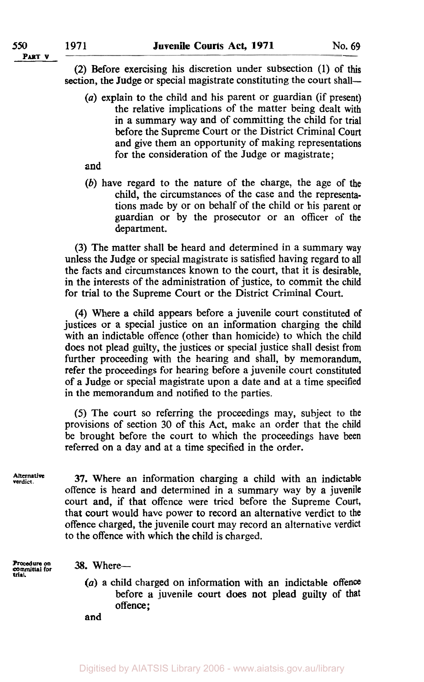**PART V** 

**(2)** Before exercising his discretion under subsection **(1)** of this section, the Judge or special magistrate constituting the court shall—

- *(a)* explain to the child and his parent or guardian (if present) the relative implications of the matter being dealt with in a summary way and of committing the child for trial before the Supreme Court or the District Criminal **Court**  and give them an opportunity of making representations for the consideration of the Judge or magistrate;
- and
- *(b)* have regard to the nature of the charge, the age of the child, the circumstances of the case and the representations made by or on behalf of the child or his parent or guardian or by the prosecutor or an officer **of** the department.

**(3)** The matter shall be heard and determined in a summary way unless the Judge or special magistrate is satisfied having regard to all the facts and circumstances known to the court, that it is desirable, in the interests of the administration of justice, to commit the child for trial to the Supreme Court or the District Criminal Court.

**(4)** Where a child appears before a juvenile court constituted of justices or a special justice on an information charging the child with an indictable offence (other than homicide) to which the child does not plead guilty, the justices or special justice shall desist from further proceeding with the hearing and shall, by memorandum, refer the proceedings for hearing before a juvenile court constituted of a Judge or special magistrate upon a date and at a time specified in the memorandum and notified to the parties.

*(5)* The court so referring the proceedings may, subject to the provisions of section **30** of this Act, make an order that the child be brought before the court to which the proceedings have been referred on a day and at a time specified in the order.

**Alternative verdict.** 

**37.** Where an information charging a child with an indictable offence is heard and determined in a summary way by a juvenile court and, if that offence were tried before the Supreme Court, that court would have power to record an alternative verdict to the offence charged, the juvenile court may record an alternative verdict to the offence with which the child is charged.

**Procedure m committal for trial.** 

**38.** Where-

*(a)* a child charged on information with an indictable offence before **a** juvenile court **does** not plead guilty **of** that offence;

and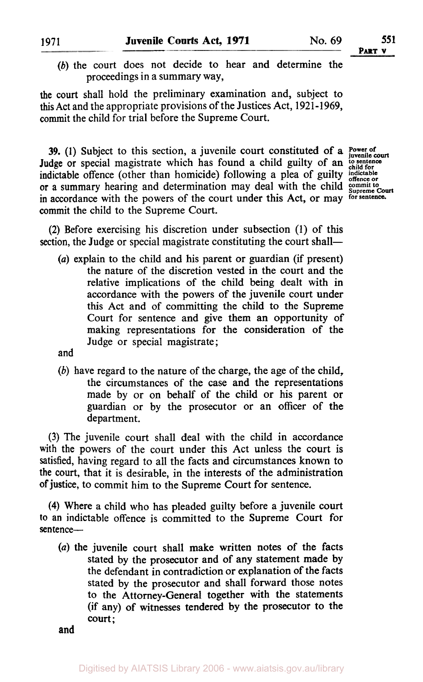*(b)* the court does not decide to hear and determine the proceedings in a summary way,

the court shall hold the preliminary examination and, subject to **this** Act and the appropriate provisions of the Justices Act, 1921-1969, commit the child for trial before the Supreme Court.

**39.** (1) Subject to this section, a juvenile court constituted of a **Power of invenile court** Judge **or** special magistrate which has found a child guilty of an *to sentence child for*  indictable offence (other than homicide) following a plea of guilty **indictable offence or**  or a summary hearing and determination may deal with the child suppreme Court in accordance with the powers of the court under this Act, or may **for sentence.**  commit the child to the Supreme Court.

**(2)** Before exercising his discretion under subsection **(I)** of this section, the Judge or special magistrate constituting the court shall—

*(a)* explain to the child and his parent or guardian (if present) the nature of the discretion vested in the court and the relative implications of the child being dealt with in accordance with the powers of the juvenile court under this Act and of committing the child to the Supreme Court for sentence and give them an opportunity of making representations for the consideration of the Judge or special magistrate;

and

*(b)* have regard to the nature of the charge, the age of the child, the circumstances of the case and the representations made by or on behalf of the child or his parent or guardian or by the prosecutor or an officer of the department.

**(3)** The juvenile court shall deal with the child in accordance **with** the powers of the court under this Act unless the court is satisfied, having regard to all the facts and circumstances known to the court, that it is desirable, in the interests of the administration of justice, to commit him to the Supreme Court for sentence.

**(4)** Where a child who has pleaded guilty before a juvenile court *<sup>10</sup>*an indictable offence is committed to the Supreme **Court** for sentence-

*(a)* the juvenile court shall make written notes of the facts stated by the prosecutor and of any statement made by the defendant in contradiction or explanation of the facts stated by the prosecutor and shall forward those notes to the Attorney-General together with the statements **(if** any) **of** witnesses tendered by the prosecutor to the Court;

and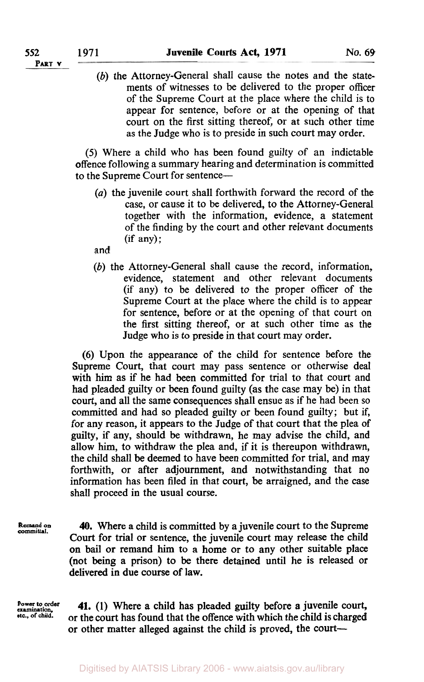**PART V** 

(b) the Attorney-General shall cause the notes and the statements of witnesses to be delivered to the proper officer of the Supreme Court at the place where the child is to appear for sentence, before or at the opening of that court on the first sitting thereof, or at such other time as the Judge who is to preside in such court may order.

*(5)* Where a child who has been found guilty of an indictable offence following a summary hearing and determination is committed to the Supreme Court for sentence-

*(a)* the juvenile court shall forthwith forward the record of the case, or cause it to be delivered, to the Attorney-General together with the information, evidence, a statement of the finding by the court and other relevant documents (if any);

and

(b) the Attorney-General shall cause the record, information, evidence, statement and other relevant documents (if any) to be delivered to the proper officer of the Supreme Court at the place where the child is to appear for sentence, before or at the opening of that court on the first sitting thereof, or at such other time as the Judge who is to preside in that court may order.

**(6)** Upon the appearance of the child for sentence before the Supreme Court, that court may pass sentence or otherwise deal with him as if he had been committed for trial to that court and had pleaded guilty or been found guilty (as the case may be) in that court, and all the same consequences shall ensue as if he had been so committed and had so pleaded guilty or been found guilty; but if, for any reason, it appears to the Judge of that court that the plea of guilty, if any, should be withdrawn, he may advise the child, and allow him, to withdraw the plea and, if it is thereupon withdrawn, the child shall be deemed to have been committed for trial, and may forthwith, or after adjournment, and notwithstanding that no information has been filed in that court, be arraigned, and the case shall proceed in the usual course.

**Remand on committal.** 

**40.** Where a child is committed by a juvenile court to the Supreme Court for trial or sentence, the juvenile court may release the child on bail or remand him to a home or to any other suitable place (not being a prison) to be there detained until he is released or delivered in due course of law.

**Power to order examination. etc., of child.** 

**41. (1)** Where a child has pleaded guilty before **a** juvenile court, or the court has found that the offence with which the child is charged or other matter alleged against the child is proved, the court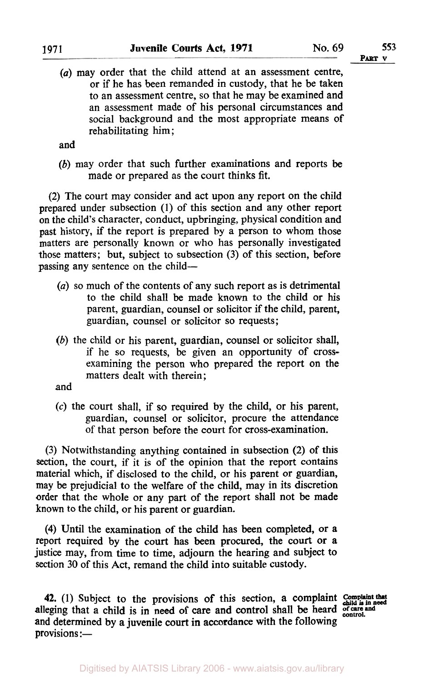*(a)* may order that the child attend at an assessment centre, or if he has been remanded in custody, that he be taken to an assessment centre, so that he may be examined and an assessment made of his personal circumstances and social background and the most appropriate means of rehabilitating him;

and

*(b)* may order that such further examinations and reports be made or prepared as the court thinks fit.

**(2)** The court may consider and act upon any report on the child prepared under subsection (1) of this section and any other report on the child's character, conduct, upbringing, physical condition and past history, if the report is prepared by a person to whom those matters are personally known or who has personally investigated those matters; but, subject to subsection **(3)** of this section, before passing any sentence on the child-

- *(a)* so much of the contents of any such report as is detrimental to the child shall be made known to the child or his parent, guardian, counsel or solicitor if the child, parent, guardian, counsel or solicitor so requests;
- *(b)* the child or his parent, guardian, counsel or solicitor shall, if he so requests, be given an opportunity of crossexamining the person who prepared the report on the matters dealt with therein;
- and
- $(c)$  the court shall, if so required by the child, or his parent, guardian, counsel or solicitor, procure the attendance **of** that person before the court for cross-examination.

**(3)** Notwithstanding anything contained in subsection (2) of this section, the court, if it is of the opinion that the report contains material which, if disclosed to the child, or his parent or guardian, may be prejudicial to the welfare of the child, may in its discretion order that the whole or any part of the report shall not be made known to the child, or his parent or guardian.

**(4)** Until the examination of the child has **been** completed, or a report required by the court has been procured, the court or a justice may, from time to time, adjourn the hearing and subject to section **30** of this Act, remand the child into suitable custody.

**42. (1)** Subject to the provisions **of** this section, a complaint **Complaint that child is in need**  alleging that a child is in need of care and control shall be heard **of care and control**  and determined by a juvenile court **in** accordance with the following provisions :-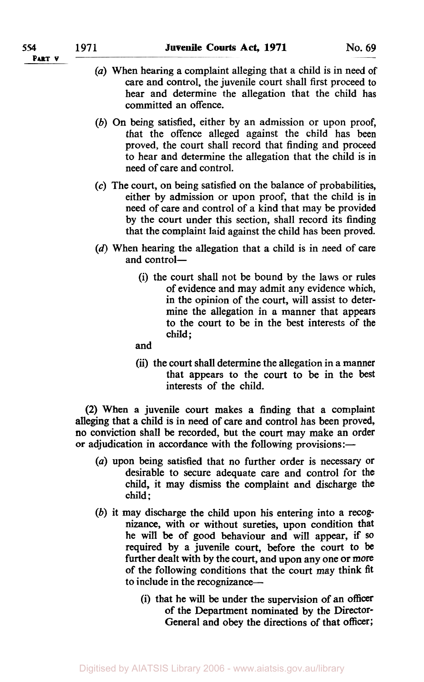- *(a)* When hearing a complaint alleging that a child is in need of care and control, the juvenile court shall first proceed to hear and determine the allegation that the child has committed an offence.
- *(b)* On being satisfied, either by an admission or upon proof, that the offence alleged against the child has been proved, the court shall record that finding and proceed to hear and determine the allegation that the child is in need of care and control.
- *(c)* The court, on being satisfied on the balance of probabilities, either by admission or upon proof, that the child is in need of care and control of a kind that may be provided by the court under this section, shall record its finding that the complaint laid against the child has been proved.
- (d) When hearing the allegation that a child is in need of care and control-
	- (i) the court shall not be bound by the laws or rules of evidence and may admit any evidence which, in the opinion of the court, will assist to determine the allegation in a manner that appears to the court to be in the best interests of the child;

and

(ii) the court shall determine the allegation in a manner that appears to the court to be in the best interests of the child.

**(2)** When a juvenile **court** makes a finding that a complaint alleging that a child is in need of care and control has been proved, no conviction shall be recorded, but the court may make an order or adjudication in accordance with the following provisions:-

- *(a)* upon being satisfied that no further order is necessary or desirable to secure adequate care and control for the child, it may dismiss the complaint and discharge the child:
- *(b)* it may discharge the child upon his entering into a recognizance, with or without sureties, upon condition that he will be of good behaviour and will appear, if **so**  required by a juvenile court, before the court to be further dealt with by the court, and upon any one or more of the following conditions that the court may think fit to include in the recognizance-
	- (i) that he will be under the supervision of an officer of the Department nominated by the Director-General and obey the directions of that **officer;**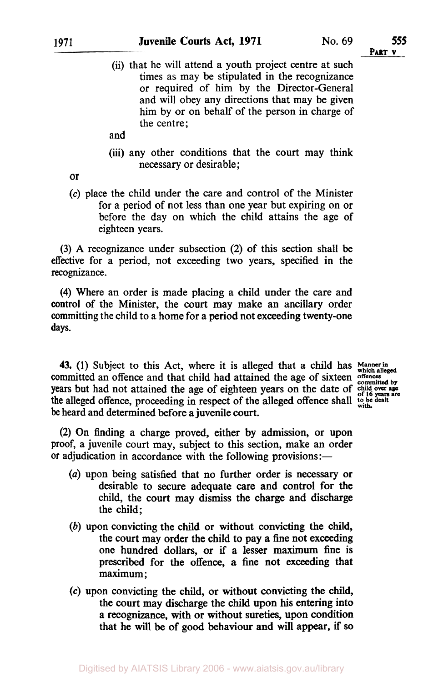## **1971 Juvenile Courts Act, 1971** No. **69 555**

**PART V** 

- (ii) that he will attend a youth project centre at such times as may be stipulated in the recognizance or required of him by the Director-General and will obey any directions that may be given him by or on behalf of the person in charge of the centre;
- and
- (iii) any other conditions that the court may think necessary or desirable ;

**or** 

(c) place the child under the care and control of the Minister for a period of not less than one year but expiring on or before the day on which the child attains the age of eighteen years.

(3) A recognizance under subsection (2) of this section shall be effective for a period, not exceeding two years, specified in the recognizance.

**(4)** Where an order is made placing a child under the care and control *of* the Minister, the court may make an ancillary order committing the child to a home for a period not exceeding twenty-one **days.** 

**43.** (1) Subject to this Act, where it is alleged that a child has Manner in committed an offence and that child had attained the age of sixteen offences years but had not attained the age of eighteen years on the date of child over age the alleged offence, proceeding in respect of the alleged offence shall to be dealt be heard and determined before a juvenile court.

(2) On finding a charge proved, either **by** admission, or upon proof, a juvenile court may, subject to this section, make an order or adjudication in accordance with the following provisions:—

- *(a)* upon being satisfied that no further order is necessary or desirable to secure adequate care and control for the child, the court may **dismiss** the charge and discharge the child;
- *(b)* upon convicting the child or without convicting the child, the court may order the child to pay a fine not exceeding one hundred dollars, or if a lesser maximum fine is prescribed for the offence, a fine not exceeding that maximum ;
- *(c)* upon convicting the child, or without convicting the child, the court may discharge the child upon his entering into a recognizance, with or without sureties, upon condition that he will be **of** good behaviour and will appear, if **so**